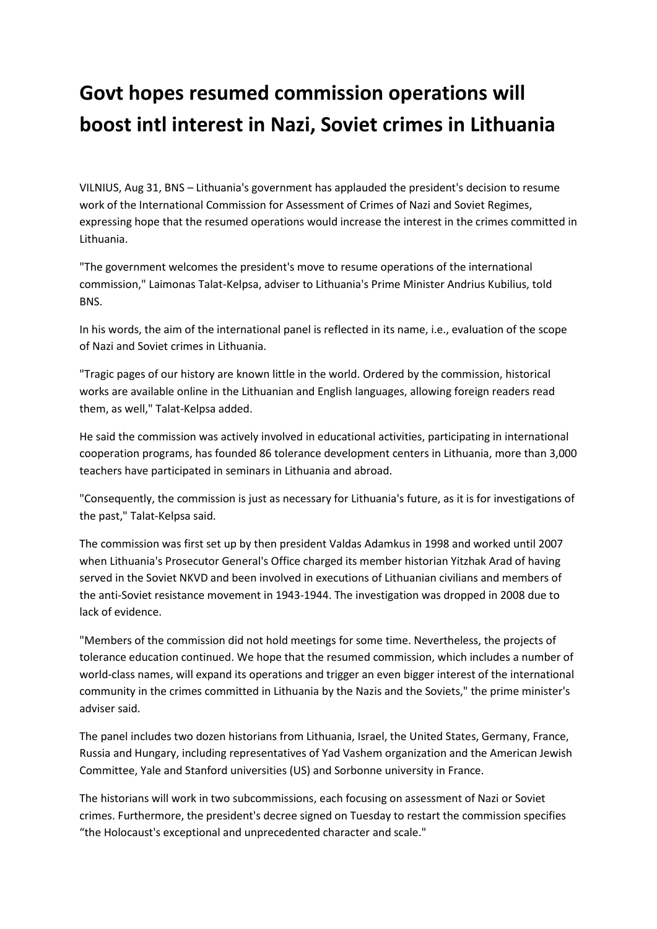## **Govt hopes resumed commission operations will boost intl interest in Nazi, Soviet crimes in Lithuania**

VILNIUS, Aug 31, BNS – Lithuania's government has applauded the president's decision to resume work of the International Commission for Assessment of Crimes of Nazi and Soviet Regimes, expressing hope that the resumed operations would increase the interest in the crimes committed in Lithuania.

"The government welcomes the president's move to resume operations of the international commission," Laimonas Talat-Kelpsa, adviser to Lithuania's Prime Minister Andrius Kubilius, told BNS.

In his words, the aim of the international panel is reflected in its name, i.e., evaluation of the scope of Nazi and Soviet crimes in Lithuania.

"Tragic pages of our history are known little in the world. Ordered by the commission, historical works are available online in the Lithuanian and English languages, allowing foreign readers read them, as well," Talat-Kelpsa added.

He said the commission was actively involved in educational activities, participating in international cooperation programs, has founded 86 tolerance development centers in Lithuania, more than 3,000 teachers have participated in seminars in Lithuania and abroad.

"Consequently, the commission is just as necessary for Lithuania's future, as it is for investigations of the past," Talat-Kelpsa said.

The commission was first set up by then president Valdas Adamkus in 1998 and worked until 2007 when Lithuania's Prosecutor General's Office charged its member historian Yitzhak Arad of having served in the Soviet NKVD and been involved in executions of Lithuanian civilians and members of the anti-Soviet resistance movement in 1943-1944. The investigation was dropped in 2008 due to lack of evidence.

"Members of the commission did not hold meetings for some time. Nevertheless, the projects of tolerance education continued. We hope that the resumed commission, which includes a number of world-class names, will expand its operations and trigger an even bigger interest of the international community in the crimes committed in Lithuania by the Nazis and the Soviets," the prime minister's adviser said.

The panel includes two dozen historians from Lithuania, Israel, the United States, Germany, France, Russia and Hungary, including representatives of Yad Vashem organization and the American Jewish Committee, Yale and Stanford universities (US) and Sorbonne university in France.

The historians will work in two subcommissions, each focusing on assessment of Nazi or Soviet crimes. Furthermore, the president's decree signed on Tuesday to restart the commission specifies "the Holocaust's exceptional and unprecedented character and scale."